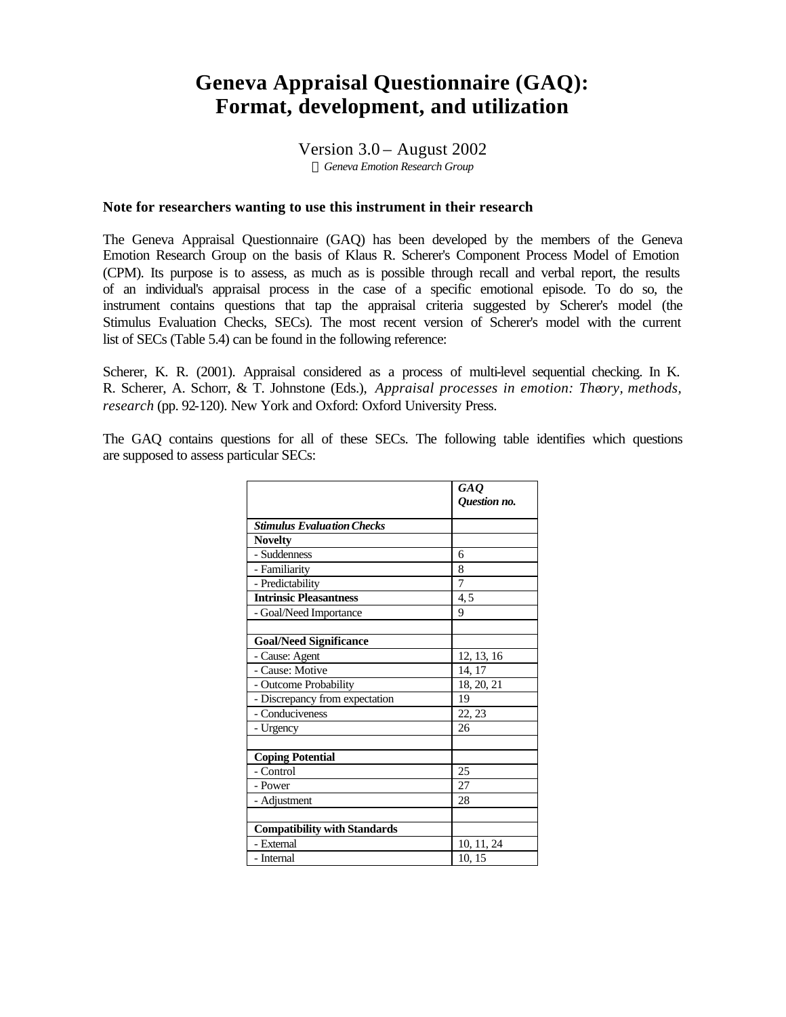# **Geneva Appraisal Questionnaire (GAQ): Format, development, and utilization**

Version  $3.0 -$  August 2002 *ã Geneva Emotion Research Group*

### **Note for researchers wanting to use this instrument in their research**

The Geneva Appraisal Questionnaire (GAQ) has been developed by the members of the Geneva Emotion Research Group on the basis of Klaus R. Scherer's Component Process Model of Emotion (CPM). Its purpose is to assess, as much as is possible through recall and verbal report, the results of an individual's appraisal process in the case of a specific emotional episode. To do so, the instrument contains questions that tap the appraisal criteria suggested by Scherer's model (the Stimulus Evaluation Checks, SECs). The most recent version of Scherer's model with the current list of SECs (Table 5.4) can be found in the following reference:

Scherer, K. R. (2001). Appraisal considered as a process of multi-level sequential checking. In K. R. Scherer, A. Schorr, & T. Johnstone (Eds.), *Appraisal processes in emotion: Theory, methods, research* (pp. 92-120). New York and Oxford: Oxford University Press.

The GAQ contains questions for all of these SECs. The following table identifies which questions are supposed to assess particular SECs:

|                                     | GAQ<br>Question no. |
|-------------------------------------|---------------------|
|                                     |                     |
| <b>Stimulus Evaluation Checks</b>   |                     |
| <b>Novelty</b>                      |                     |
| - Suddenness                        | 6                   |
| - Familiarity                       | 8                   |
| - Predictability                    | 7                   |
| <b>Intrinsic Pleasantness</b>       | 4, 5                |
| - Goal/Need Importance              | 9                   |
|                                     |                     |
| <b>Goal/Need Significance</b>       |                     |
| - Cause: Agent                      | 12, 13, 16          |
| - Cause: Motive                     | 14, 17              |
| - Outcome Probability               | 18, 20, 21          |
| - Discrepancy from expectation      | 19                  |
| - Conduciveness                     | 22, 23              |
| - Urgency                           | 26                  |
|                                     |                     |
| <b>Coping Potential</b>             |                     |
| - Control                           | 25                  |
| - Power                             | 27                  |
| - Adjustment                        | 28                  |
|                                     |                     |
| <b>Compatibility with Standards</b> |                     |
| - External                          | 10, 11, 24          |
| - Internal                          | 10, 15              |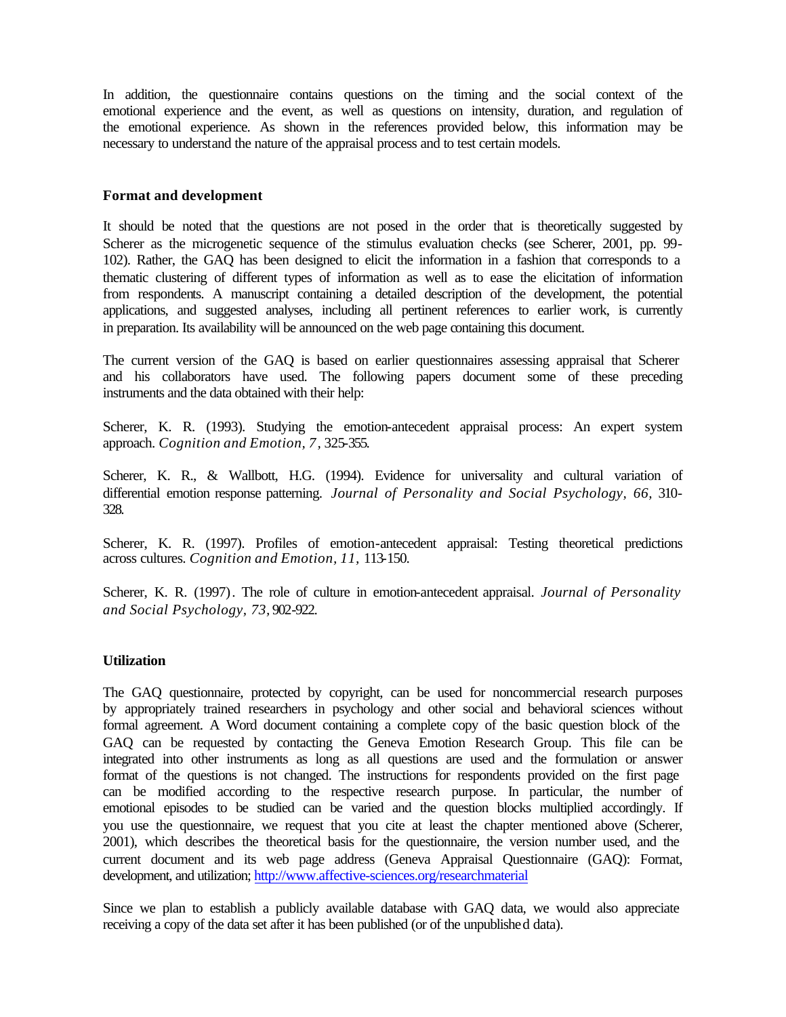In addition, the questionnaire contains questions on the timing and the social context of the emotional experience and the event, as well as questions on intensity, duration, and regulation of the emotional experience. As shown in the references provided below, this information may be necessary to understand the nature of the appraisal process and to test certain models.

### **Format and development**

It should be noted that the questions are not posed in the order that is theoretically suggested by Scherer as the microgenetic sequence of the stimulus evaluation checks (see Scherer, 2001, pp. 99- 102). Rather, the GAQ has been designed to elicit the information in a fashion that corresponds to a thematic clustering of different types of information as well as to ease the elicitation of information from respondents. A manuscript containing a detailed description of the development, the potential applications, and suggested analyses, including all pertinent references to earlier work, is currently in preparation. Its availability will be announced on the web page containing this document.

The current version of the GAQ is based on earlier questionnaires assessing appraisal that Scherer and his collaborators have used. The following papers document some of these preceding instruments and the data obtained with their help:

Scherer, K. R. (1993). Studying the emotion-antecedent appraisal process: An expert system approach. *Cognition and Emotion, 7,* 325-355.

Scherer, K. R., & Wallbott, H.G. (1994). Evidence for universality and cultural variation of differential emotion response patterning. *Journal of Personality and Social Psychology, 66,* 310- 328.

Scherer, K. R. (1997). Profiles of emotion-antecedent appraisal: Testing theoretical predictions across cultures. *Cognition and Emotion, 11,* 113-150.

Scherer, K. R. (1997). The role of culture in emotion-antecedent appraisal. *Journal of Personality and Social Psychology, 73,* 902-922.

### **Utilization**

The GAQ questionnaire, protected by copyright, can be used for noncommercial research purposes by appropriately trained researchers in psychology and other social and behavioral sciences without formal agreement. A Word document containing a complete copy of the basic question block of the GAQ can be requested by contacting the Geneva Emotion Research Group. This file can be integrated into other instruments as long as all questions are used and the formulation or answer format of the questions is not changed. The instructions for respondents provided on the first page can be modified according to the respective research purpose. In particular, the number of emotional episodes to be studied can be varied and the question blocks multiplied accordingly. If you use the questionnaire, we request that you cite at least the chapter mentioned above (Scherer, 2001), which describes the theoretical basis for the questionnaire, the version number used, and the current document and its web page address (Geneva Appraisal Questionnaire (GAQ): Format, development, and utilization; <http://www.affective-sciences.org/researchmaterial>

Since we plan to establish a publicly available database with GAQ data, we would also appreciate receiving a copy of the data set after it has been published (or of the unpublished data).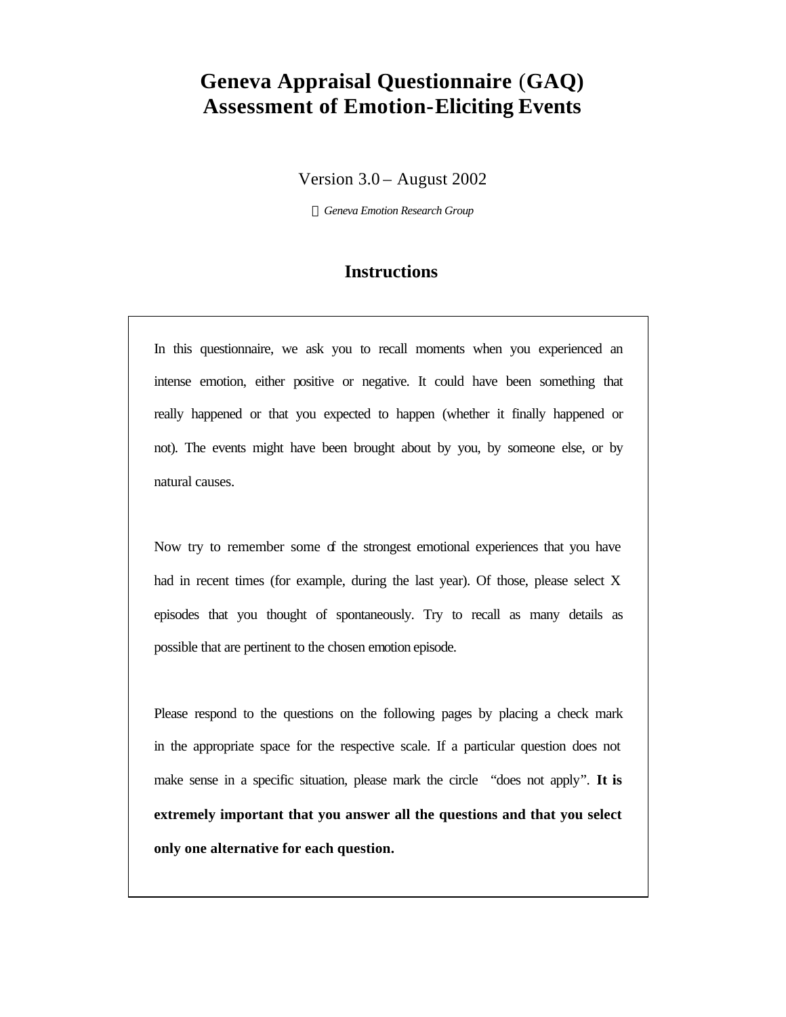# **Geneva Appraisal Questionnaire** (**GAQ) Assessment of Emotion-Eliciting Events**

Version 3.0 – August 2002

*ã Geneva Emotion Research Group*

## **Instructions**

In this questionnaire, we ask you to recall moments when you experienced an intense emotion, either positive or negative. It could have been something that really happened or that you expected to happen (whether it finally happened or not). The events might have been brought about by you, by someone else, or by natural causes.

Now try to remember some of the strongest emotional experiences that you have had in recent times (for example, during the last year). Of those, please select X episodes that you thought of spontaneously. Try to recall as many details as possible that are pertinent to the chosen emotion episode.

Please respond to the questions on the following pages by placing a check mark in the appropriate space for the respective scale. If a particular question does not make sense in a specific situation, please mark the circle "does not apply". **It is extremely important that you answer all the questions and that you select only one alternative for each question.**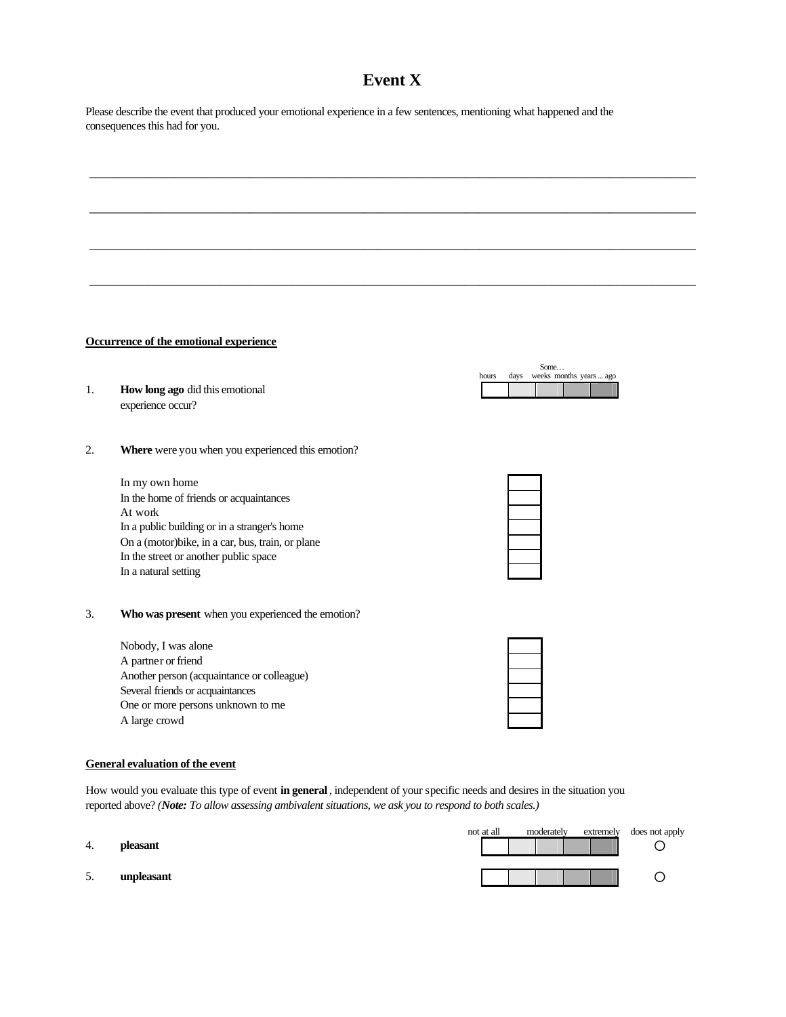## **Event X**

 $\overline{\phantom{a}}$  , and the contract of the contract of the contract of the contract of the contract of the contract of the contract of the contract of the contract of the contract of the contract of the contract of the contrac

 $\overline{\phantom{a}}$  , and the contract of the contract of the contract of the contract of the contract of the contract of the contract of the contract of the contract of the contract of the contract of the contract of the contrac

 $\overline{\phantom{a}}$  , and the contract of the contract of the contract of the contract of the contract of the contract of the contract of the contract of the contract of the contract of the contract of the contract of the contrac

 $\overline{\phantom{a}}$  , and the contract of the contract of the contract of the contract of the contract of the contract of the contract of the contract of the contract of the contract of the contract of the contract of the contrac

Please describe the event that produced your emotional experience in a few sentences, mentioning what happened and the consequences this had for you.

### **Occurrence of the emotional experience**

- 1. **How long ago** did this emotional experience occur?
- 2. **Where** were you when you experienced this emotion?

In my own home In the home of friends or acquaintances At work In a public building or in a stranger's home On a (motor)bike, in a car, bus, train, or plane In the street or another public space In a natural setting

Some… hours days weeks months years ... ago

3. **Who was present** when you experienced the emotion?

| Nobody, I was alone                        |  |
|--------------------------------------------|--|
| A partner or friend                        |  |
| Another person (acquaintance or colleague) |  |
| Several friends or acquaintances           |  |
| One or more persons unknown to me          |  |
| A large crowd                              |  |
|                                            |  |

### **General evaluation of the event**

How would you evaluate this type of event **in general** , independent of your specific needs and desires in the situation you reported above? *(Note: To allow assessing ambivalent situations, we ask you to respond to both scales.)*

- 
- 

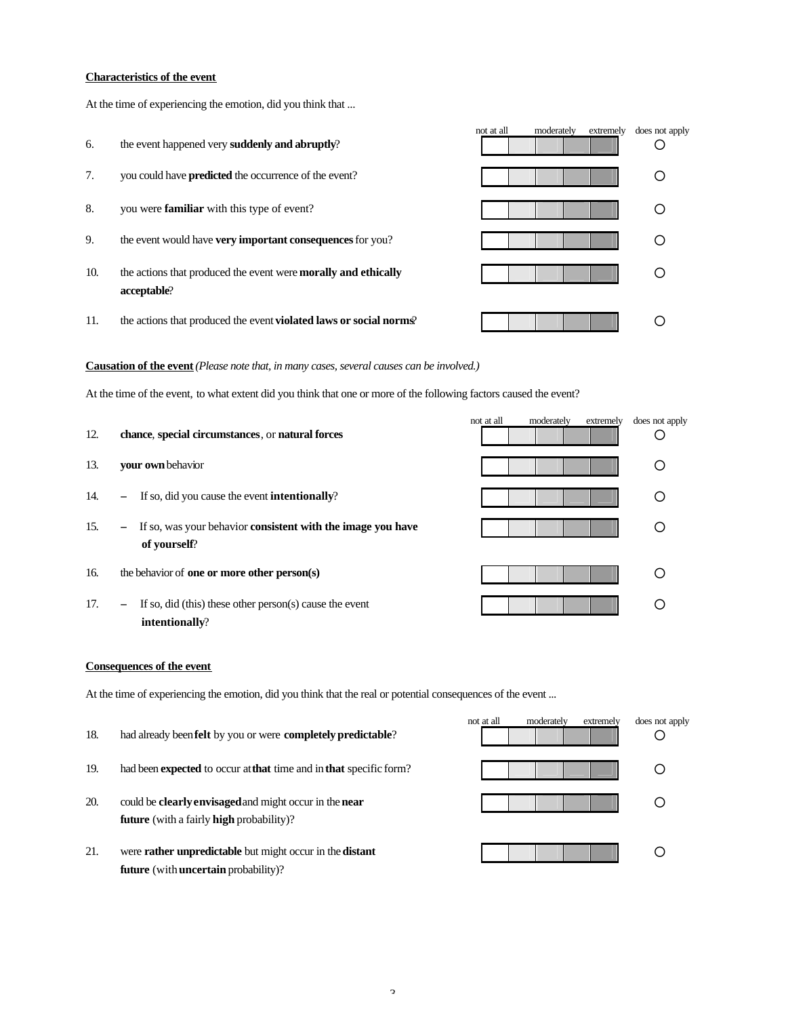### **Characteristics of the event**

At the time of experiencing the emotion, did you think that ...

 not at all moderately extremely does not apply 6. the event happened very **suddenly and abruptly**? ° 7. you could have **predicted** the occurrence of the event? 8. you were **familiar** with this type of event? 9. the event would have **very important consequences** for you? 10. the actions that produced the event were **morally and ethically and example of the set of the set of the set of the set of the set of the set of the set of the set of the set of the set of the set of the set of the s acceptable**? 11. the actions that produced the event **violated laws or social norms**?

**Causation of the event***(Please note that, in many cases, several causes can be involved.)*

At the time of the event, to what extent did you think that one or more of the following factors caused the event?

| 12. | chance, special circumstances, or natural forces                                                        | not at all | moderately | extremely | does not apply |
|-----|---------------------------------------------------------------------------------------------------------|------------|------------|-----------|----------------|
| 13. | your own behavior                                                                                       |            |            |           |                |
| 14. | If so, did you cause the event intentionally?<br>$-$                                                    |            |            |           |                |
| 15. | If so, was your behavior consistent with the image you have<br>$\overline{\phantom{m}}$<br>of yourself? |            |            |           |                |
| 16. | the behavior of <b>one or more other person</b> (s)                                                     |            |            |           |                |
| 17. | If so, did (this) these other person(s) cause the event<br>$\overline{\phantom{m}}$<br>intentionally?   |            |            |           |                |

### **Consequences of the event**

At the time of experiencing the emotion, did you think that the real or potential consequences of the event ...

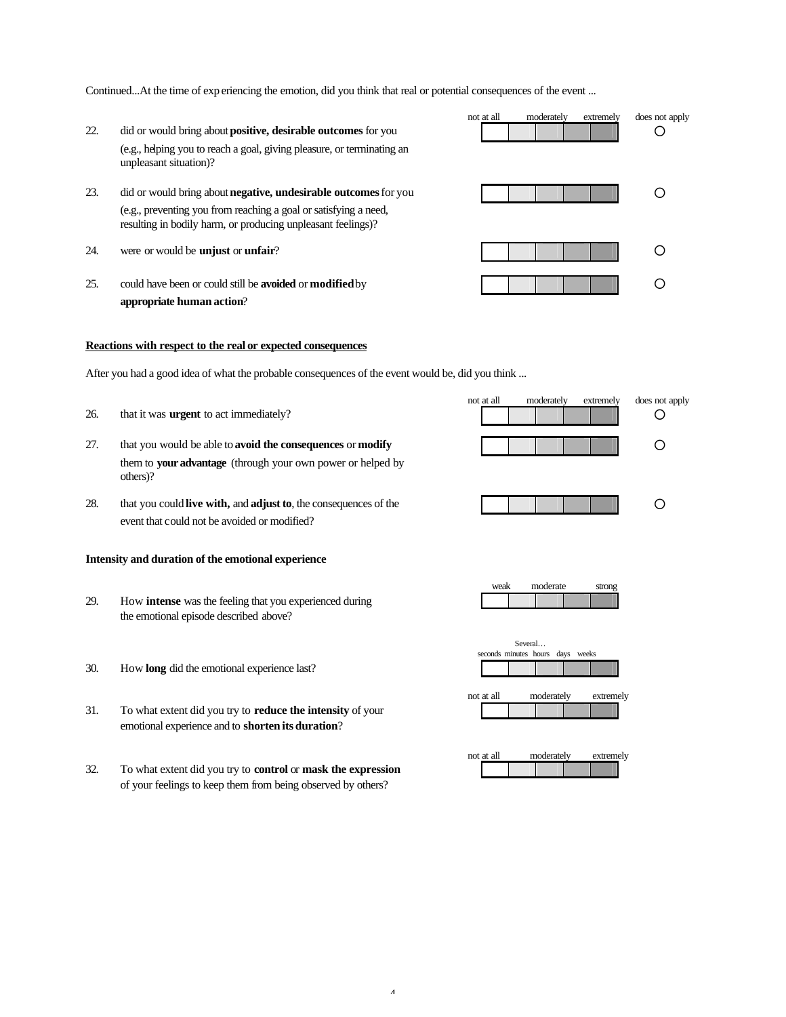Continued...At the time of exp eriencing the emotion, did you think that real or potential consequences of the event ...

- 22. did or would bring about **positive, desirable outcomes** for you  $\Box$ (e.g., helping you to reach a goal, giving pleasure, or terminating an unpleasant situation)?
- 23. did or would bring about **negative, undesirable outcomes** for you **a** (e.g., preventing you from reaching a goal or satisfying a need, resulting in bodily harm, or producing unpleasant feelings)?
- 
- 25. could have been or could still be **avoided** or **modified** by ° **appropriate human action**?

### **Reactions with respect to the real or expected consequences**

After you had a good idea of what the probable consequences of the event would be, did you think ...

- 
- 27. that you would be able to **avoid the consequences** or **modify** ° them to **your advantage** (through your own power or helped by others)?
- not at all moderately extremely does not apply 26. that it was **urgent** to act immediately?
- 28. that you could **live with,** and **adjust to**, the consequences of the **Particle 1 Particle 1 Particle 1 Particle 1 Particle 1 Particle 1 Particle 1 Particle 1 Particle 1 Particle 1 Particle 1 Parti** event that could not be avoided or modified?

### **Intensity and duration of the emotional experience**

29. How **intense** was the feeling that you experienced during the emotional episode described above?

weak moderate strong

Several… seconds minutes hours days week

- 30. How **long** did the emotional experience last?
- 31. To what extent did you try to **reduce the intensity** of your emotional experience and to **shorten its duration**?
- 32. To what extent did you try to **control** or **mask the expression** of your feelings to keep them from being observed by others?